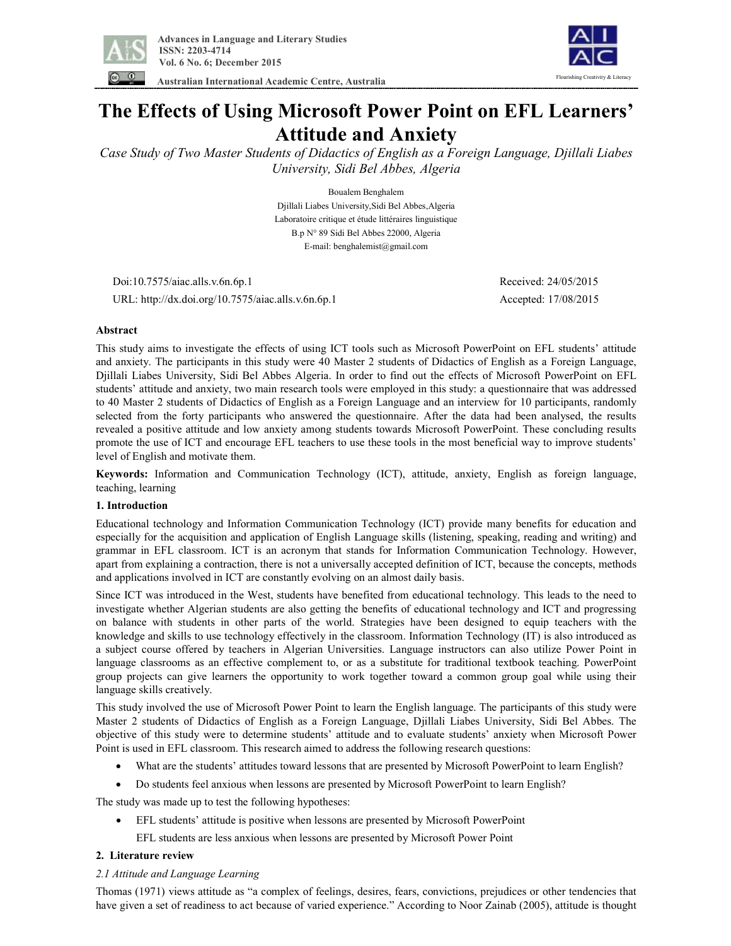

 **Australian International Academic Centre, Australia** 



**The Effects of Using Microsoft Power Point on EFL Learners' Attitude and Anxiety** 

*Case Study of Two Master Students of Didactics of English as a Foreign Language, Djillali Liabes University, Sidi Bel Abbes, Algeria* 

> Boualem Benghalem Djillali Liabes University,Sidi Bel Abbes,Algeria Laboratoire critique et étude littéraires linguistique B.p N° 89 Sidi Bel Abbes 22000, Algeria E-mail: benghalemist@gmail.com

Doi:10.7575/aiac.alls.v.6n.6p.1 Received: 24/05/2015

URL: http://dx.doi.org/10.7575/aiac.alls.v.6n.6p.1 Accepted: 17/08/2015

# **Abstract**

This study aims to investigate the effects of using ICT tools such as Microsoft PowerPoint on EFL students' attitude and anxiety. The participants in this study were 40 Master 2 students of Didactics of English as a Foreign Language, Djillali Liabes University, Sidi Bel Abbes Algeria. In order to find out the effects of Microsoft PowerPoint on EFL students' attitude and anxiety, two main research tools were employed in this study: a questionnaire that was addressed to 40 Master 2 students of Didactics of English as a Foreign Language and an interview for 10 participants, randomly selected from the forty participants who answered the questionnaire. After the data had been analysed, the results revealed a positive attitude and low anxiety among students towards Microsoft PowerPoint. These concluding results promote the use of ICT and encourage EFL teachers to use these tools in the most beneficial way to improve students' level of English and motivate them.

**Keywords:** Information and Communication Technology (ICT), attitude, anxiety, English as foreign language, teaching, learning

# **1. Introduction**

Educational technology and Information Communication Technology (ICT) provide many benefits for education and especially for the acquisition and application of English Language skills (listening, speaking, reading and writing) and grammar in EFL classroom. ICT is an acronym that stands for Information Communication Technology. However, apart from explaining a contraction, there is not a universally accepted definition of ICT, because the concepts, methods and applications involved in ICT are constantly evolving on an almost daily basis.

Since ICT was introduced in the West, students have benefited from educational technology. This leads to the need to investigate whether Algerian students are also getting the benefits of educational technology and ICT and progressing on balance with students in other parts of the world. Strategies have been designed to equip teachers with the knowledge and skills to use technology effectively in the classroom. Information Technology (IT) is also introduced as a subject course offered by teachers in Algerian Universities. Language instructors can also utilize Power Point in language classrooms as an effective complement to, or as a substitute for traditional textbook teaching. PowerPoint group projects can give learners the opportunity to work together toward a common group goal while using their language skills creatively.

This study involved the use of Microsoft Power Point to learn the English language. The participants of this study were Master 2 students of Didactics of English as a Foreign Language, Djillali Liabes University, Sidi Bel Abbes. The objective of this study were to determine students' attitude and to evaluate students' anxiety when Microsoft Power Point is used in EFL classroom. This research aimed to address the following research questions:

- What are the students' attitudes toward lessons that are presented by Microsoft PowerPoint to learn English?
- · Do students feel anxious when lessons are presented by Microsoft PowerPoint to learn English?

The study was made up to test the following hypotheses:

- · EFL students' attitude is positive when lessons are presented by Microsoft PowerPoint
	- EFL students are less anxious when lessons are presented by Microsoft Power Point

# **2. Literature review**

# *2.1 Attitude and Language Learning*

Thomas (1971) views attitude as "a complex of feelings, desires, fears, convictions, prejudices or other tendencies that have given a set of readiness to act because of varied experience." According to Noor Zainab (2005), attitude is thought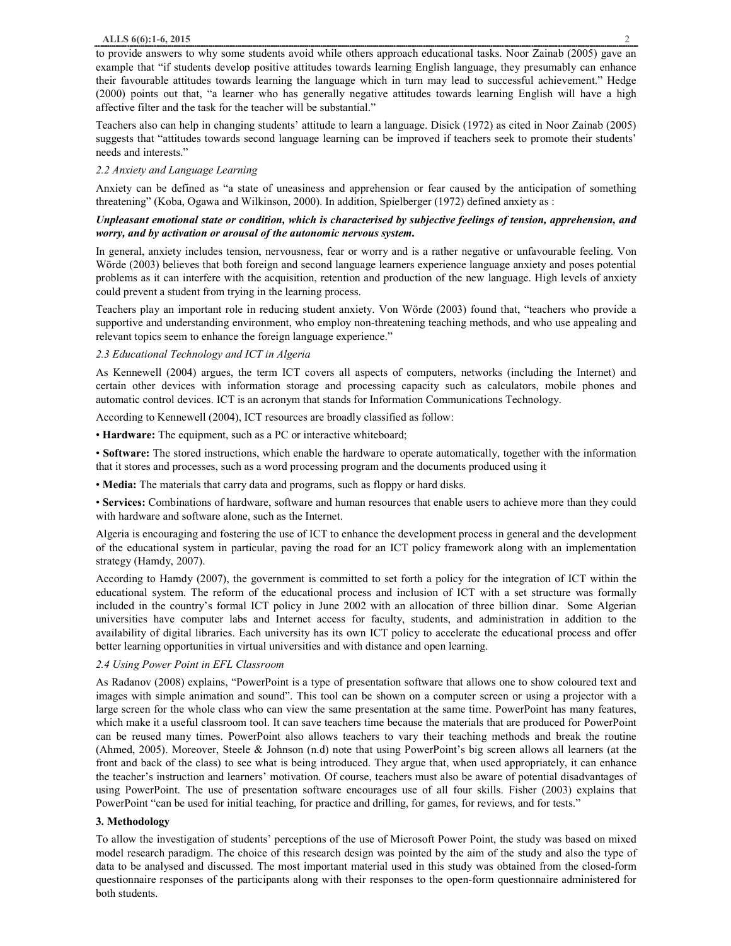to provide answers to why some students avoid while others approach educational tasks. Noor Zainab (2005) gave an example that "if students develop positive attitudes towards learning English language, they presumably can enhance their favourable attitudes towards learning the language which in turn may lead to successful achievement." Hedge (2000) points out that, "a learner who has generally negative attitudes towards learning English will have a high affective filter and the task for the teacher will be substantial."

Teachers also can help in changing students' attitude to learn a language. Disick (1972) as cited in Noor Zainab (2005) suggests that "attitudes towards second language learning can be improved if teachers seek to promote their students' needs and interests."

# *2.2 Anxiety and Language Learning*

Anxiety can be defined as "a state of uneasiness and apprehension or fear caused by the anticipation of something threatening" (Koba, Ogawa and Wilkinson, 2000). In addition, Spielberger (1972) defined anxiety as :

### *Unpleasant emotional state or condition, which is characterised by subjective feelings of tension, apprehension, and worry, and by activation or arousal of the autonomic nervous system.*

In general, anxiety includes tension, nervousness, fear or worry and is a rather negative or unfavourable feeling. Von Wörde (2003) believes that both foreign and second language learners experience language anxiety and poses potential problems as it can interfere with the acquisition, retention and production of the new language. High levels of anxiety could prevent a student from trying in the learning process.

Teachers play an important role in reducing student anxiety. Von Wörde (2003) found that, "teachers who provide a supportive and understanding environment, who employ non-threatening teaching methods, and who use appealing and relevant topics seem to enhance the foreign language experience."

# *2.3 Educational Technology and ICT in Algeria*

As Kennewell (2004) argues, the term ICT covers all aspects of computers, networks (including the Internet) and certain other devices with information storage and processing capacity such as calculators, mobile phones and automatic control devices. ICT is an acronym that stands for Information Communications Technology.

According to Kennewell (2004), ICT resources are broadly classified as follow:

• **Hardware:** The equipment, such as a PC or interactive whiteboard;

• **Software:** The stored instructions, which enable the hardware to operate automatically, together with the information that it stores and processes, such as a word processing program and the documents produced using it

• **Media:** The materials that carry data and programs, such as floppy or hard disks.

• **Services:** Combinations of hardware, software and human resources that enable users to achieve more than they could with hardware and software alone, such as the Internet.

Algeria is encouraging and fostering the use of ICT to enhance the development process in general and the development of the educational system in particular, paving the road for an ICT policy framework along with an implementation strategy (Hamdy, 2007).

According to Hamdy (2007), the government is committed to set forth a policy for the integration of ICT within the educational system. The reform of the educational process and inclusion of ICT with a set structure was formally included in the country's formal ICT policy in June 2002 with an allocation of three billion dinar. Some Algerian universities have computer labs and Internet access for faculty, students, and administration in addition to the availability of digital libraries. Each university has its own ICT policy to accelerate the educational process and offer better learning opportunities in virtual universities and with distance and open learning.

# *2.4 Using Power Point in EFL Classroom*

As Radanov (2008) explains, "PowerPoint is a type of presentation software that allows one to show coloured text and images with simple animation and sound". This tool can be shown on a computer screen or using a projector with a large screen for the whole class who can view the same presentation at the same time. PowerPoint has many features, which make it a useful classroom tool. It can save teachers time because the materials that are produced for PowerPoint can be reused many times. PowerPoint also allows teachers to vary their teaching methods and break the routine (Ahmed, 2005). Moreover, Steele & Johnson (n.d) note that using PowerPoint's big screen allows all learners (at the front and back of the class) to see what is being introduced. They argue that, when used appropriately, it can enhance the teacher's instruction and learners' motivation. Of course, teachers must also be aware of potential disadvantages of using PowerPoint. The use of presentation software encourages use of all four skills. Fisher (2003) explains that PowerPoint "can be used for initial teaching, for practice and drilling, for games, for reviews, and for tests."

# **3. Methodology**

To allow the investigation of students' perceptions of the use of Microsoft Power Point, the study was based on mixed model research paradigm. The choice of this research design was pointed by the aim of the study and also the type of data to be analysed and discussed. The most important material used in this study was obtained from the closed-form questionnaire responses of the participants along with their responses to the open-form questionnaire administered for both students.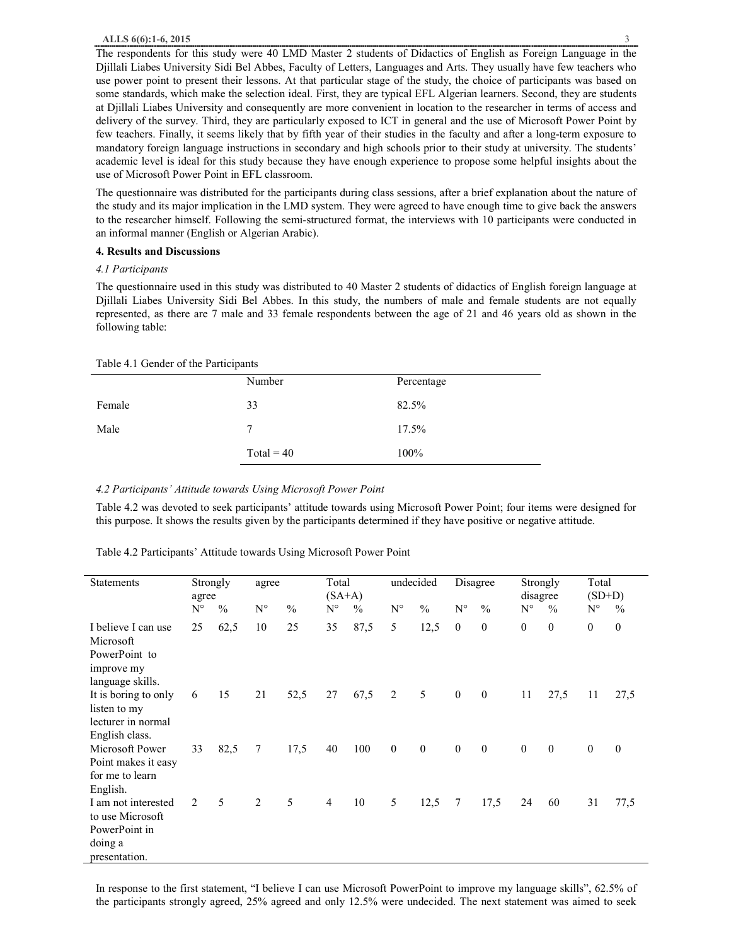The respondents for this study were 40 LMD Master 2 students of Didactics of English as Foreign Language in the Djillali Liabes University Sidi Bel Abbes, Faculty of Letters, Languages and Arts. They usually have few teachers who use power point to present their lessons. At that particular stage of the study, the choice of participants was based on some standards, which make the selection ideal. First, they are typical EFL Algerian learners. Second, they are students at Djillali Liabes University and consequently are more convenient in location to the researcher in terms of access and delivery of the survey. Third, they are particularly exposed to ICT in general and the use of Microsoft Power Point by few teachers. Finally, it seems likely that by fifth year of their studies in the faculty and after a long-term exposure to mandatory foreign language instructions in secondary and high schools prior to their study at university. The students' academic level is ideal for this study because they have enough experience to propose some helpful insights about the use of Microsoft Power Point in EFL classroom.

The questionnaire was distributed for the participants during class sessions, after a brief explanation about the nature of the study and its major implication in the LMD system. They were agreed to have enough time to give back the answers to the researcher himself. Following the semi-structured format, the interviews with 10 participants were conducted in an informal manner (English or Algerian Arabic).

#### **4. Results and Discussions**

### *4.1 Participants*

The questionnaire used in this study was distributed to 40 Master 2 students of didactics of English foreign language at Djillali Liabes University Sidi Bel Abbes. In this study, the numbers of male and female students are not equally represented, as there are 7 male and 33 female respondents between the age of 21 and 46 years old as shown in the following table:

#### Table 4.1 Gender of the Participants

|        | Number       | Percentage |
|--------|--------------|------------|
| Female | 33           | 82.5%      |
| Male   | 7            | 17.5%      |
|        | $Total = 40$ | 100%       |

#### *4.2 Participants' Attitude towards Using Microsoft Power Point*

Table 4.2 was devoted to seek participants' attitude towards using Microsoft Power Point; four items were designed for this purpose. It shows the results given by the participants determined if they have positive or negative attitude.

Table 4.2 Participants' Attitude towards Using Microsoft Power Point

| Statements                                                                           | Strongly<br>agree |               | agree       |               | Total<br>$(SA+A)$        |               | undecided    |               | Disagree         |                | Strongly<br>disagree |               | Total<br>$(SD+D)$ |               |
|--------------------------------------------------------------------------------------|-------------------|---------------|-------------|---------------|--------------------------|---------------|--------------|---------------|------------------|----------------|----------------------|---------------|-------------------|---------------|
|                                                                                      | $N^{\circ}$       | $\frac{0}{0}$ | $N^{\circ}$ | $\frac{0}{0}$ | $N^{\circ}$              | $\frac{0}{0}$ | $N^{\circ}$  | $\frac{0}{0}$ | $N^{\circ}$      | $\frac{0}{0}$  | $N^{\circ}$          | $\frac{0}{0}$ | $N^{\circ}$       | $\frac{0}{0}$ |
| I believe I can use<br>Microsoft<br>PowerPoint to<br>improve my<br>language skills.  | 25                | 62,5          | 10          | 25            | 35                       | 87,5          | 5            | 12,5          | $\mathbf{0}$     | $\theta$       | $\boldsymbol{0}$     | $\mathbf{0}$  | $\mathbf{0}$      | $\theta$      |
| It is boring to only<br>listen to my<br>lecturer in normal<br>English class.         | 6                 | 15            | 21          | 52,5          | 27                       | 67,5          | 2            | 5             | $\boldsymbol{0}$ | $\overline{0}$ | 11                   | 27,5          | 11                | 27,5          |
| Microsoft Power<br>Point makes it easy<br>for me to learn<br>English.                | 33                | 82,5          | 7           | 17,5          | 40                       | 100           | $\mathbf{0}$ | $\mathbf{0}$  | $\boldsymbol{0}$ | $\mathbf{0}$   | $\boldsymbol{0}$     | $\mathbf{0}$  | $\mathbf{0}$      | $\mathbf{0}$  |
| I am not interested<br>to use Microsoft<br>PowerPoint in<br>doing a<br>presentation. | 2                 | 5             | 2           | 5             | $\overline{\mathcal{A}}$ | 10            | 5            | 12,5          | 7                | 17,5           | 24                   | 60            | 31                | 77,5          |

In response to the first statement, "I believe I can use Microsoft PowerPoint to improve my language skills", 62.5% of the participants strongly agreed, 25% agreed and only 12.5% were undecided. The next statement was aimed to seek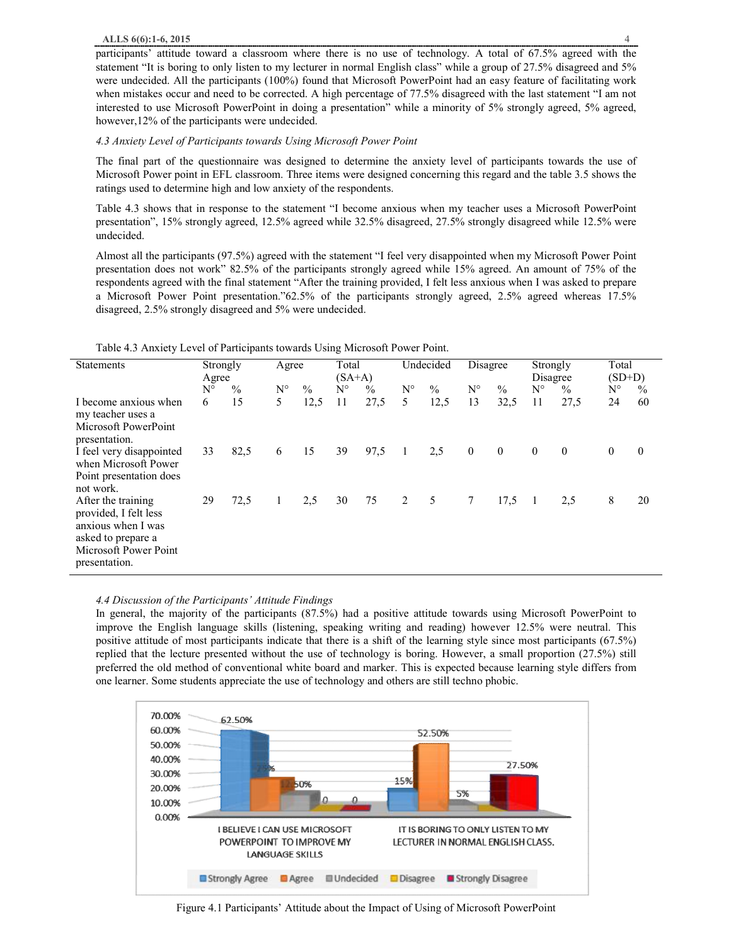participants' attitude toward a classroom where there is no use of technology. A total of 67.5% agreed with the statement "It is boring to only listen to my lecturer in normal English class" while a group of 27.5% disagreed and 5% were undecided. All the participants (100%) found that Microsoft PowerPoint had an easy feature of facilitating work when mistakes occur and need to be corrected. A high percentage of 77.5% disagreed with the last statement "I am not interested to use Microsoft PowerPoint in doing a presentation" while a minority of 5% strongly agreed, 5% agreed, however,12% of the participants were undecided.

### *4.3 Anxiety Level of Participants towards Using Microsoft Power Point*

The final part of the questionnaire was designed to determine the anxiety level of participants towards the use of Microsoft Power point in EFL classroom. Three items were designed concerning this regard and the table 3.5 shows the ratings used to determine high and low anxiety of the respondents.

Table 4.3 shows that in response to the statement "I become anxious when my teacher uses a Microsoft PowerPoint presentation", 15% strongly agreed, 12.5% agreed while 32.5% disagreed, 27.5% strongly disagreed while 12.5% were undecided.

Almost all the participants (97.5%) agreed with the statement "I feel very disappointed when my Microsoft Power Point presentation does not work" 82.5% of the participants strongly agreed while 15% agreed. An amount of 75% of the respondents agreed with the final statement "After the training provided, I felt less anxious when I was asked to prepare a Microsoft Power Point presentation."62.5% of the participants strongly agreed, 2.5% agreed whereas 17.5% disagreed, 2.5% strongly disagreed and 5% were undecided.

| <b>Statements</b>                                                                                                                 | Strongly<br>Agree |      | Agree       |               | Total<br>$(SA+A)$ |               | Undecided   |               | Disagree       |                | Strongly<br>Disagree |          | Total<br>$(SD+D)$ |               |
|-----------------------------------------------------------------------------------------------------------------------------------|-------------------|------|-------------|---------------|-------------------|---------------|-------------|---------------|----------------|----------------|----------------------|----------|-------------------|---------------|
|                                                                                                                                   | $N^{\circ}$       | $\%$ | $N^{\circ}$ | $\frac{0}{0}$ | $N^{\circ}$       | $\frac{0}{0}$ | $N^{\circ}$ | $\frac{0}{0}$ | $N^{\circ}$    | $\%$           | $N^{\circ}$          | $\%$     | $N^{\circ}$       | $\frac{0}{0}$ |
| I become anxious when<br>my teacher uses a<br>Microsoft PowerPoint<br>presentation.                                               | 6                 | 15   | 5           | 12,5          | 11                | 27,5          | 5           | 12,5          | 13             | 32,5           | 11                   | 27,5     | 24                | 60            |
| I feel very disappointed<br>when Microsoft Power<br>Point presentation does<br>not work.                                          | 33                | 82,5 | 6           | 15            | 39                | 97,5          | - 1         | 2,5           | $\overline{0}$ | $\overline{0}$ | $\theta$             | $\theta$ | $\theta$          | $\theta$      |
| After the training<br>provided, I felt less<br>anxious when I was<br>asked to prepare a<br>Microsoft Power Point<br>presentation. | 29                | 72,5 | 1           | 2,5           | 30                | 75            | 2           | $5^{\circ}$   | $\tau$         | 17,5           | $\overline{1}$       | 2,5      | 8                 | 20            |

Table 4.3 Anxiety Level of Participants towards Using Microsoft Power Point.

# *4.4 Discussion of the Participants' Attitude Findings*

In general, the majority of the participants (87.5%) had a positive attitude towards using Microsoft PowerPoint to improve the English language skills (listening, speaking writing and reading) however 12.5% were neutral. This positive attitude of most participants indicate that there is a shift of the learning style since most participants (67.5%) replied that the lecture presented without the use of technology is boring. However, a small proportion (27.5%) still preferred the old method of conventional white board and marker. This is expected because learning style differs from one learner. Some students appreciate the use of technology and others are still techno phobic.



Figure 4.1 Participants' Attitude about the Impact of Using of Microsoft PowerPoint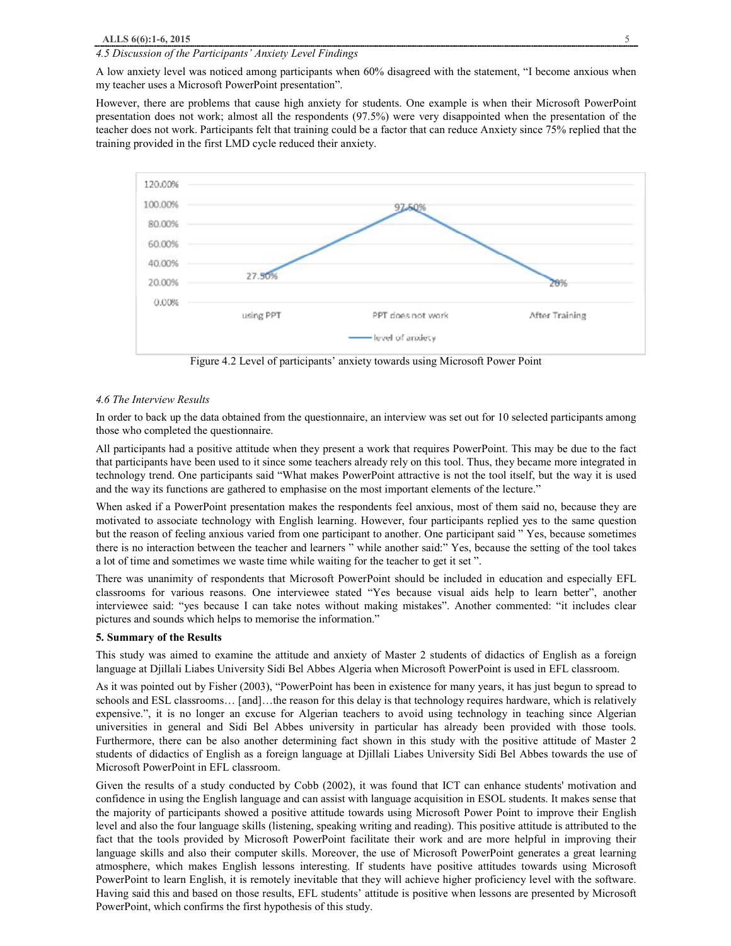### *4.5 Discussion of the Participants' Anxiety Level Findings*

A low anxiety level was noticed among participants when 60% disagreed with the statement, "I become anxious when my teacher uses a Microsoft PowerPoint presentation".

However, there are problems that cause high anxiety for students. One example is when their Microsoft PowerPoint presentation does not work; almost all the respondents (97.5%) were very disappointed when the presentation of the teacher does not work. Participants felt that training could be a factor that can reduce Anxiety since 75% replied that the training provided in the first LMD cycle reduced their anxiety.



Figure 4.2 Level of participants' anxiety towards using Microsoft Power Point

#### *4.6 The Interview Results*

In order to back up the data obtained from the questionnaire, an interview was set out for 10 selected participants among those who completed the questionnaire.

All participants had a positive attitude when they present a work that requires PowerPoint. This may be due to the fact that participants have been used to it since some teachers already rely on this tool. Thus, they became more integrated in technology trend. One participants said "What makes PowerPoint attractive is not the tool itself, but the way it is used and the way its functions are gathered to emphasise on the most important elements of the lecture."

When asked if a PowerPoint presentation makes the respondents feel anxious, most of them said no, because they are motivated to associate technology with English learning. However, four participants replied yes to the same question but the reason of feeling anxious varied from one participant to another. One participant said " Yes, because sometimes there is no interaction between the teacher and learners " while another said:" Yes, because the setting of the tool takes a lot of time and sometimes we waste time while waiting for the teacher to get it set ".

There was unanimity of respondents that Microsoft PowerPoint should be included in education and especially EFL classrooms for various reasons. One interviewee stated "Yes because visual aids help to learn better", another interviewee said: "yes because I can take notes without making mistakes". Another commented: "it includes clear pictures and sounds which helps to memorise the information."

#### **5. Summary of the Results**

This study was aimed to examine the attitude and anxiety of Master 2 students of didactics of English as a foreign language at Djillali Liabes University Sidi Bel Abbes Algeria when Microsoft PowerPoint is used in EFL classroom.

As it was pointed out by Fisher (2003), "PowerPoint has been in existence for many years, it has just begun to spread to schools and ESL classrooms… [and]…the reason for this delay is that technology requires hardware, which is relatively expensive.", it is no longer an excuse for Algerian teachers to avoid using technology in teaching since Algerian universities in general and Sidi Bel Abbes university in particular has already been provided with those tools. Furthermore, there can be also another determining fact shown in this study with the positive attitude of Master 2 students of didactics of English as a foreign language at Djillali Liabes University Sidi Bel Abbes towards the use of Microsoft PowerPoint in EFL classroom.

Given the results of a study conducted by Cobb (2002), it was found that ICT can enhance students' motivation and confidence in using the English language and can assist with language acquisition in ESOL students. It makes sense that the majority of participants showed a positive attitude towards using Microsoft Power Point to improve their English level and also the four language skills (listening, speaking writing and reading). This positive attitude is attributed to the fact that the tools provided by Microsoft PowerPoint facilitate their work and are more helpful in improving their language skills and also their computer skills. Moreover, the use of Microsoft PowerPoint generates a great learning atmosphere, which makes English lessons interesting. If students have positive attitudes towards using Microsoft PowerPoint to learn English, it is remotely inevitable that they will achieve higher proficiency level with the software. Having said this and based on those results, EFL students' attitude is positive when lessons are presented by Microsoft PowerPoint, which confirms the first hypothesis of this study.